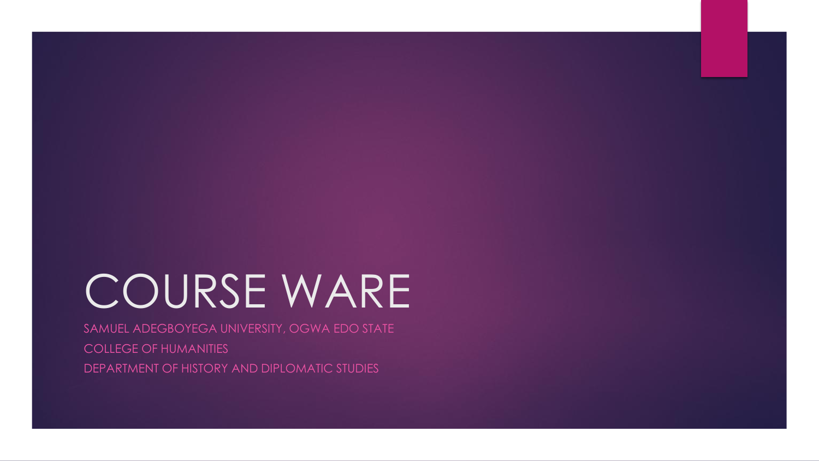# COURSE WARE

SAMUEL ADEGBOYEGA UNIVERSITY, OGWA EDO STATE COLLEGE OF HUMANITIES DEPARTMENT OF HISTORY AND DIPLOMATIC STUDIES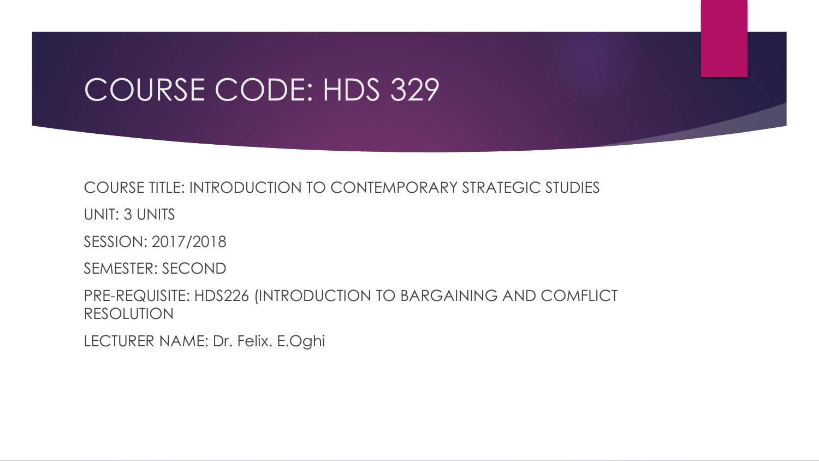## COURSE CODE: HDS 329

#### COURSE TITLE: INTRODUCTION TO CONTEMPORARY STRATEGIC STUDIES

UNIT: 3 UNITS

SESSION: 2017/2018

SEMESTER: SECOND

PRE-REQUISITE: HDS226 (INTRODUCTION TO BARGAINING AND COMFLICT RESOLUTION

LECTURER NAME: Dr. Felix. E.Oghi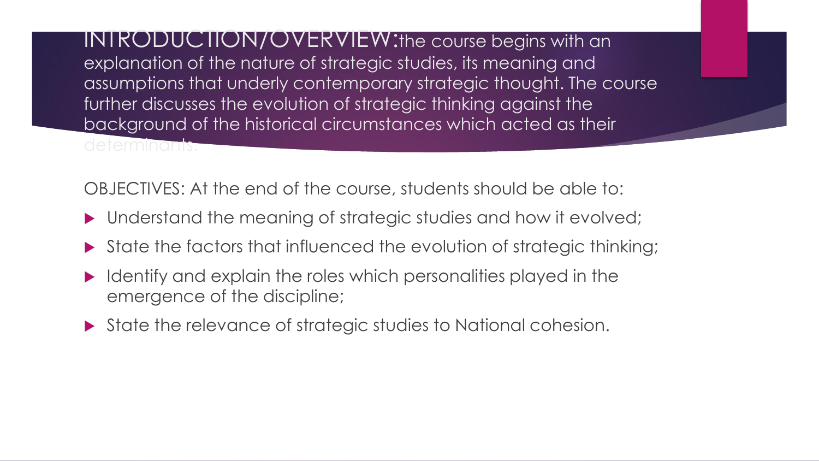INTRODUCTION/OVERVIEW:the course begins with an explanation of the nature of strategic studies, its meaning and assumptions that underly contemporary strategic thought. The course further discusses the evolution of strategic thinking against the background of the historical circumstances which acted as their determinants.

OBJECTIVES: At the end of the course, students should be able to:

- Understand the meaning of strategic studies and how it evolved;
- State the factors that influenced the evolution of strategic thinking;
- Identify and explain the roles which personalities played in the emergence of the discipline;
- State the relevance of strategic studies to National cohesion.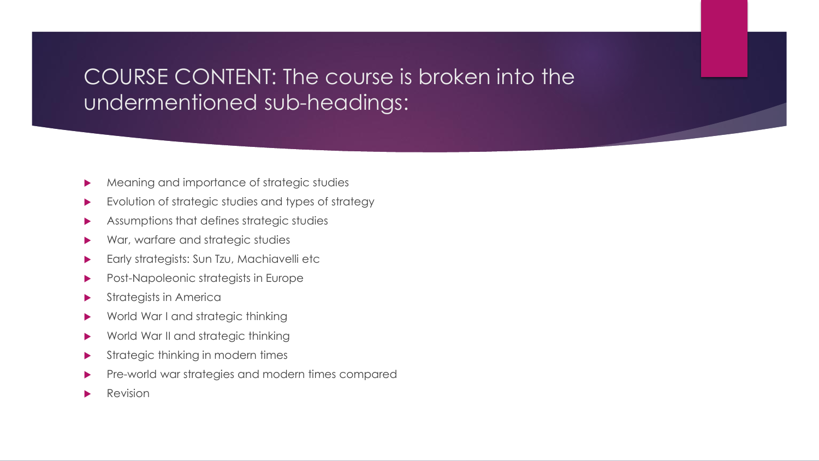### COURSE CONTENT: The course is broken into the undermentioned sub-headings:

- Meaning and importance of strategic studies
- Evolution of strategic studies and types of strategy
- Assumptions that defines strategic studies
- War, warfare and strategic studies
- Early strategists: Sun Tzu, Machiavelli etc
- Post-Napoleonic strategists in Europe
- Strategists in America
- World War I and strategic thinking
- World War II and strategic thinking
- Strategic thinking in modern times
- Pre-world war strategies and modern times compared
- Revision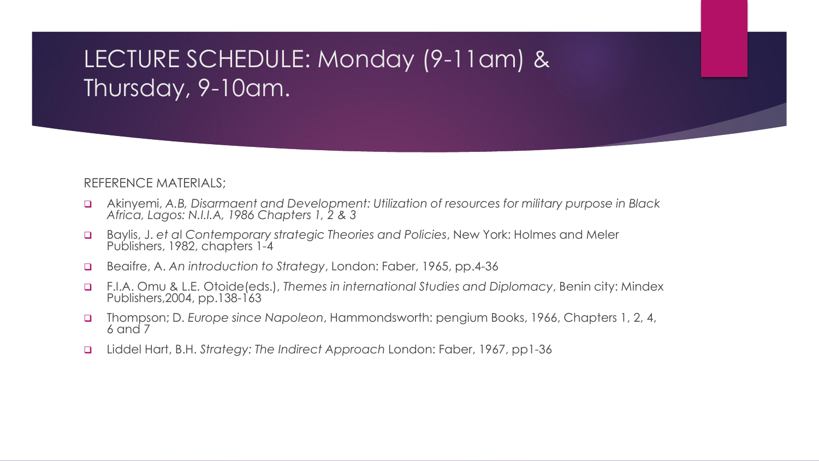## LECTURE SCHEDULE: Monday (9-11am) & Thursday, 9-10am.

#### REFERENCE MATERIALS;

- Akinyemi, *A.B, Disarmaent and Development: Utilization of resources for military purpose in Black Africa, Lagos: N.I.I.A, 1986 Chapters 1, 2 & 3*
- Baylis, J. *et a*l *Contemporary strategic Theories and Policies*, New York: Holmes and Meler Publishers, 1982, chapters 1-4
- Beaifre, A. *An introduction to Strategy*, London: Faber, 1965, pp.4-36
- F.I.A. Omu & L.E. Otoide(eds.), *Themes in international Studies and Diplomacy*, Benin city: Mindex Publishers, 2004, pp. 138-163
- Thompson; D. *Europe since Napoleon*, Hammondsworth: pengium Books, 1966, Chapters 1, 2, 4, 6 and 7
- Liddel Hart, B.H. *Strategy: The Indirect Approach* London: Faber, 1967, pp1-36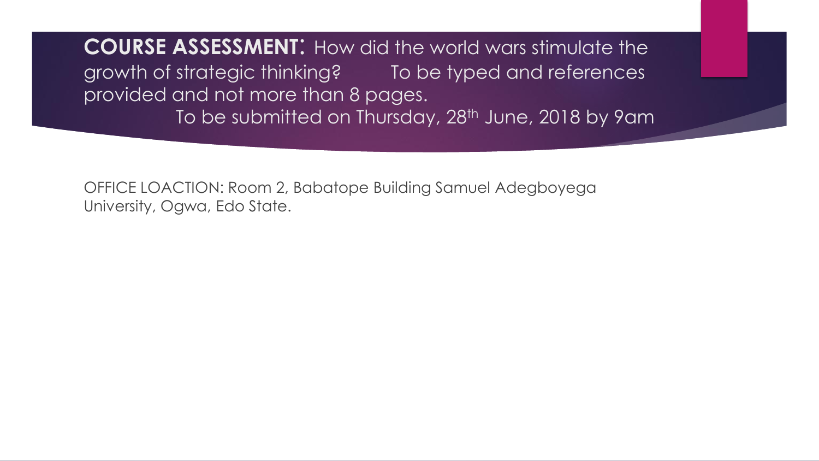**COURSE ASSESSMENT**: How did the world wars stimulate the growth of strategic thinking? To be typed and references provided and not more than 8 pages. To be submitted on Thursday, 28<sup>th</sup> June, 2018 by 9am

OFFICE LOACTION: Room 2, Babatope Building Samuel Adegboyega University, Ogwa, Edo State.